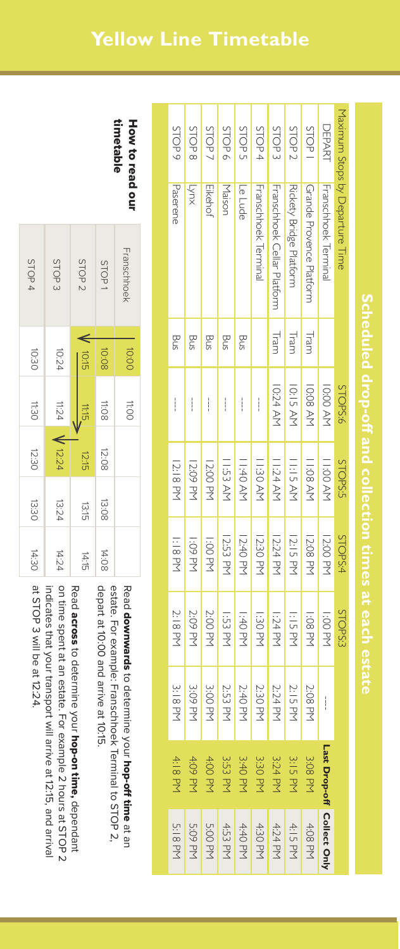| STOP <sub>5</sub> | STOP8         | STOP <sup>.</sup> | STOP <sub>6</sub> | STOP!         | STOP 4               | STOP <sub>3</sub>                  | STOP <sub>2</sub>       | STOP                            | DEPARI               |                                 |
|-------------------|---------------|-------------------|-------------------|---------------|----------------------|------------------------------------|-------------------------|---------------------------------|----------------------|---------------------------------|
| Paserene          | <b>Anx</b>    | Eikehof           | Maisor            | Le Lude       | Franschhoek Terminal | <b>Franschhoek Cellar Platform</b> | Rickety Bridge Platform | <b>Grande Provence Platform</b> | Franschhoek Terminal | Maximum Stops by Departure Time |
| Bus               | Bus           | Bus               | Bus               | Bus           |                      | Tram                               | Tram                    | Tram                            |                      |                                 |
| $\frac{1}{1}$     | $\frac{1}{2}$ | $\vdots$          | $\frac{1}{1}$     | $\frac{1}{2}$ | $\vdots$             | 10:24 AM                           | <b>10:15 AM</b>         | <b>IO:08 AM</b>                 | <b>IO:00 AM</b>      | <b>STOPS:6</b>                  |
| 12:18 PM          | 12:09 PM      | 12:00 PM          | 11:53 AM          | 11:40 AM      | 1:30 AM              | <b>II:24 AM</b>                    | <b>II:15 AM</b>         | 11:08 AM                        | <b>H:00 AM</b>       | STOPS:5                         |
| <b>HI8 PM</b>     | 1:09 PM       | 1:00 PM           | 12:53 PM          | 12:40 PM      | <b>12:30 PM</b>      | 12:24 PM                           | 12:15 PM                | 12:08 PM                        | 12:00 PM             | STOPS:4                         |
| 2:18 PM           | 2:09 PM       | 2:00 PM           | l:53 Pr           | 1:40 PM       | 1:30 PM              | 1:24 PM                            | <b>1:15 PM</b>          | <b>1:08 PM</b>                  | .:00 PM              | STOPS:                          |
| 3:18 PM           | 3:09 PM       | 3:00 PM           | 2:53 PM           | 2:40 PM       | 2:30 PM              | 2:24 PM                            | 2:15 PM                 | 2:08 PM                         | $\frac{1}{2}$        |                                 |
| 4:18 PM           | 4:09 PM       | 4:00 PM           | 3:53 PM           | 3:40 PM       | 3:30 PM              | 3:24 PM                            | 3:15 PM                 | 3:08 PM                         |                      |                                 |
| 5:18 PM           | 5:09 PM       | 5:00 PM           | 4:53 PM           | 4:40 PM       | 4:30 PM              | 4:24 PM                            | 4:15 PM                 | 4:08 PM                         |                      |                                 |
|                   |               |                   |                   |               |                      |                                    |                         |                                 |                      | Last Drop-off Collect Only      |

How to read our timetable timetable How to read our

Read

downwards

depart at 10:00 and arrive at 10:15.

depart at 10:00 and arrive at 10:15.

to determine your

estate. For example: Franschhoek Terminal to STOP 2,

estate. For example: Franschhoek Terminal to STOP 2,

hop-off time

at an

| STOP4        | STOP <sub>3</sub> | STOP <sub>2</sub> |              | STOP1 | Franschhoek |  |
|--------------|-------------------|-------------------|--------------|-------|-------------|--|
|              |                   |                   |              |       |             |  |
| 10:30        | 10:24             |                   | 10:15        | 10:08 | 00:00       |  |
| TI:30        | 11:24             |                   | 11:15        | 11:08 | <b>HIOO</b> |  |
| 12:30        | V 12:24           |                   | 12:15        | 12:08 |             |  |
| <b>13:30</b> | 13:24             |                   | <b>13:15</b> | 13:08 |             |  |
| 14:30        | 14:24             |                   | 14:15        | 14:08 |             |  |

at STOP 3 will be at 12:24. indicates that your transport will arrive at 12:15, and arrival on time spent at an estate. For example 2 hours at STOP 2 Read across to determine your hop-on time, dependant at STOP 3 will be at 12:24. indicates that your transport will arrive at 12:15, and arrival on time spent at an estate. For example 2 hours at STOP 2 across to determine your hop-on time,dependant